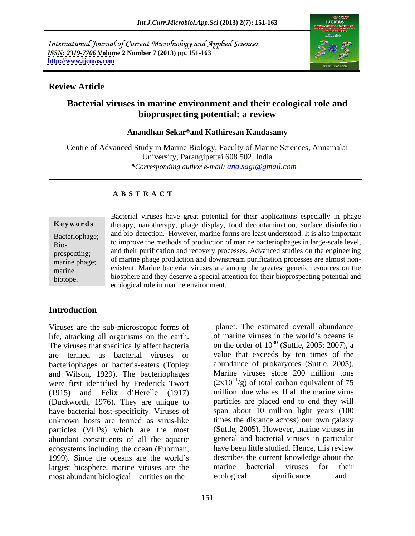International Journal of Current Microbiology and Applied Sciences *ISSN: 2319-7706* **Volume 2 Number 7 (2013) pp. 151-163 <http://www.ijcmas.com>**



## **Review Article**

# **Bacterial viruses in marine environment and their ecological role and bioprospecting potential: a review**

### **Anandhan Sekar\*and Kathiresan Kandasamy**

Centre of Advanced Study in Marine Biology, Faculty of Marine Sciences, Annamalai University, Parangipettai 608 502, India *\*Corresponding author e-mail: ana.sagi@gmail.com*

# **A B S T R A C T**

**Ke ywo rds** therapy, nanotherapy, phage display, food decontamination, surface disinfection Bacteriophage; and bio-detection. However, marine forms are least understood. It is also important Bio-<br>Bio-<br> $\frac{1}{2}$  to improve the methods of production of marine bacteriophages in large-scale level, prospecting; and their purification and recovery processes. Advanced studies on the engineering properting, of marine phage production and downstream purification processes are almost nonmarine  $_{\text{principle}}$ , existent. Marine bacterial viruses are among the greatest genetic resources on the Biotophage;<br>
Bacterial viruses have great potential for their applications especially in phage<br>
therapy, nanotherapy, phage display, food decontamination, surface disinfection<br>
Bio-<br>
Bio-<br>
Bio-<br>
Bio-<br>
to improve the method biosphere and they deserve a special attention for their bioprospecting potential and ecological role in marine environment.

# **Introduction**

Viruses are the sub-microscopic forms of life, attacking all organisms on the earth. The viruses that specifically affect bacteria on the order of  $10^{30}$  (Suttle, 2005; 2007), a are termed as bacterial viruses or value that exceeds by ten times of the bacteriophages or bacteria-eaters (Topley and Wilson, 1929). The bacteriophages were first identified by Frederick Twort  $(1915)$  and Felix d'Herelle  $(1917)$ (Duckworth, 1976). They are unique to have bacterial host-specificity. Viruses of unknown hosts are termed as virus-like particles (VLPs) which are the most abundant constituents of all the aquatic ecosystems including the ocean (Fuhrman, 1999). Since the oceans are the world's largest biosphere, marine viruses are the marine bacterial viruses for their most abundant biological entities on the ecological significance and

151

 planet. The estimated overall abundance of marine viruses in the world's oceans is abundance of prokaryotes (Suttle, 2005). Marine viruses store 200 million tons  $(2x10^{11}/g)$  of total carbon equivalent of 75 million blue whales. If all the marine virus particles are placed end to end they will span about 10 million light years (100 times the distance across) our own galaxy (Suttle, 2005). However, marine viruses in general and bacterial viruses in particular have been little studied. Hence, this review describes the current knowledge about the marine bacterial viruses for their ecological significance and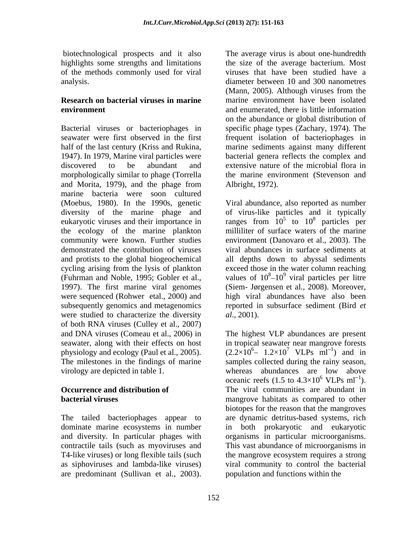biotechnological prospects and it also The average virus is about one-hundredth of the methods commonly used for viral

Bacterial viruses or bacteriophages in seawater were first observed in the first frequent isolation of bacteriophages in half of the last century (Kriss and Rukina, marine sediments against many different 1947). In 1979, Marine viral particles were bacterial genera reflects the complex and discovered to be abundant and extensive nature of the microbial flora in morphologically similar to phage (Torrella and Morita, 1979), and the phage from marine bacteria were soon cultured the ecology of the marine plankton community were known. Further studies 1997). The first marine viral genomes were studied to characterize the diversity  $al., 2001$ . of both RNA viruses (Culley et al., 2007) and DNA viruses (Comeau et al., 2006) in The highest VLP abundances are present seawater, along with their effects on host physiology and ecology (Paul et al., 2005). The milestones in the findings of marine samples collected during the rainy season, virology are depicted in table 1. whereas abundances are low above bisechno (signal) and Moria, 1979). The average virus is about one-hundredth of the methods that have been well and a<br>bisechno and the signal and different have been solar and the methods commonly used for viral<br>anome the

T4-like viruses) or long flexible tails (such

highlights some strengths and limitations the size of the average bacterium. Most analysis. diameter between 10 and 300 nanometres **Research on bacterial viruses in marine** marine environment have been isolated **environment** and enumerated, there is little information viruses that have been studied have a (Mann, 2005). Although viruses from the on the abundance or global distribution of specific phage types (Zachary, 1974). The the marine environment (Stevenson and Albright, 1972).

(Moebus, 1980). In the 1990s, genetic Viral abundance, also reported as number diversity of the marine phage and of virus-like particles and it typically eukaryotic viruses and their importance in ranges from  $10^5$  to  $10^8$  particles per demonstrated the contribution of viruses viral abundances in surface sediments at and protists to the global biogeochemical all depths down to abyssal sediments cycling arising from the lysis of plankton exceed those in the water column reaching (Fuhrman and Noble, 1995; Gobler et al., values of  $10^8 - 10^9$  viral particles per litre were sequenced (Rohwer etal., 2000) and high viral abundances have also been subsequently genomics and metagenomics reported in subsurface sediment (Bird *et*  to  $10^8$  particles per  $8$  nortiales nor particles per milliliter of surface waters of the marine environment (Danovaro et al., 2003). The viral particles per litre (Siem- Jørgensen et al., 2008). Moreover, *al*., 2001).

**Occurrence and distribution of** The viral communities are abundant in **bacterial viruses bacterial viruses habitats** as compared to other The tailed bacteriophages appear to are dynamic detritus-based systems, rich dominate marine ecosystems in number in both prokaryotic and eukaryotic and diversity. In particular phages with organisms in particular microorganisms. contractile tails (such as myoviruses and This vast abundance of microorganisms in as siphoviruses and lambda-like viruses) viral community to control the bacterial in tropical seawater near mangrove forests  $(2.2 \times 10^6 - 1.2 \times 10^7 \text{ VLPs} \text{ ml}^{-1})$  and in <sup>7</sup> VLPs  $ml^{-1}$ ) and in ) and in oceanic reefs (1.5 to  $4.3 \times 10^6$  VLPs ml<sup>-1</sup>).  $6$  VLPs ml<sup>-1</sup>). ). biotopes for the reason that the mangroves the mangrove ecosystem requires a strong population and functions within the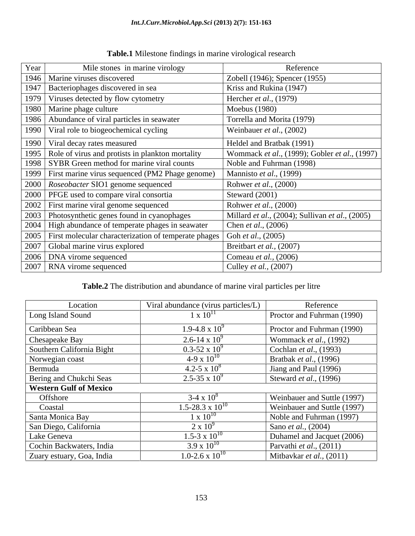| Year | Mile stones in marine virology                              | Reference                                                       |
|------|-------------------------------------------------------------|-----------------------------------------------------------------|
|      | 1946   Marine viruses discovered                            | Zobell (1946); Spencer (1955)                                   |
| 194  | Bacteriophages discovered in sea                            | Kriss and Rukina (1947)                                         |
| 1979 | Viruses detected by flow cytometry                          | Hercher <i>et al.</i> , $(1979)$                                |
|      | 1980   Marine phage culture                                 | Moebus (1980)                                                   |
|      | 1986   Abundance of viral particles in seawater             | Torrella and Morita (1979)                                      |
| 1990 | Viral role to biogeochemical cycling                        | Weinbauer et al., (2002)                                        |
|      | 1990   Viral decay rates measured                           | Heldel and Bratbak (1991)                                       |
| 1995 | Role of virus and protists in plankton mortality            | Wommack et al., (1999); Gobler et al., (1997)                   |
|      | 1998   SYBR Green method for marine viral counts            | Noble and Fuhrman (1998)                                        |
|      | 1999   First marine virus sequenced (PM2 Phage genome)      | Mannisto <i>et al.</i> , (1999)                                 |
|      | 2000   Roseobacter SIO1 genome sequenced                    | Rohwer et al., (2000)                                           |
|      | 2000   PFGE used to compare viral consortia                 | Steward $(2001)$                                                |
|      | 2002   First marine viral genome sequenced                  | Rohwer et al., (2000)                                           |
|      | 2003   Photosynthetic genes found in cyanophages            | Millard <i>et al.</i> , (2004); Sullivan <i>et al.</i> , (2005) |
|      | 2004   High abundance of temperate phages in seawater       | Chen <i>et al.</i> , (2006)                                     |
|      | 2005   First molecular characterization of temperate phages | Goh <i>et al.</i> , (2005)                                      |
|      | 2007   Global marine virus explored                         | Breitbart et al., (2007)                                        |
|      | 2006   DNA virome sequenced                                 | Comeau et al., (2006)                                           |
|      | 2007   RNA virome sequenced                                 | Culley <i>et al.</i> , (2007)                                   |

**Table.1** Milestone findings in marine virological research

## **Table.2** The distribution and abundance of marine viral particles per litre

| Location                      | Viral abundance (virus particles/L) | Reference                        |
|-------------------------------|-------------------------------------|----------------------------------|
| Long Island Sound             | $1 \times 10^{11}$                  | Proctor and Fuhrman (1990)       |
| Caribbean Sea                 | $1.9 - 4.8 \times 10^{9}$           | Proctor and Fuhrman (1990)       |
| Chesapeake Bay                | 2.6-14 x $10^9$                     | Wommack <i>et al.</i> , (1992)   |
| Southern California Bight     | $0.3 - 52 \times 10^{9}$            | Cochlan <i>et al.</i> , $(1993)$ |
| Norwegian coast               | 4-9 x $10^{10}$                     | Bratbak <i>et al.</i> , (1996)   |
| Bermuda                       | 4.2-5 x $10^8$                      | Jiang and Paul (1996)            |
| Bering and Chukchi Seas       | 2.5-35 x $10^9$                     | Steward <i>et al.</i> , (1996)   |
| <b>Western Gulf of Mexico</b> |                                     |                                  |
| Offshore                      | $3-4 \times 10^8$                   | Weinbauer and Suttle (1997)      |
| Coastal                       | $1.5 - 28.3 \times 10^{10}$         | Weinbauer and Suttle (1997)      |
| Santa Monica Bay              | $\chi$ 10 <sup>1</sup>              | Noble and Fuhrman (1997)         |
| San Diego, California         | $2 \times 10^9$                     | Sano <i>et al.</i> , (2004)      |
| Lake Geneva                   | $1.5 - 3 \times 10^{10}$            | Duhamel and Jacquet (2006)       |
| Cochin Backwaters, India      | $3.9 \times 10^{10}$                | Parvathi <i>et al.</i> , (2011)  |
| Zuary estuary, Goa, India     | $1.0 - 2.6 \times 10^{10}$          | Mitbaykar et al., $(2011)$       |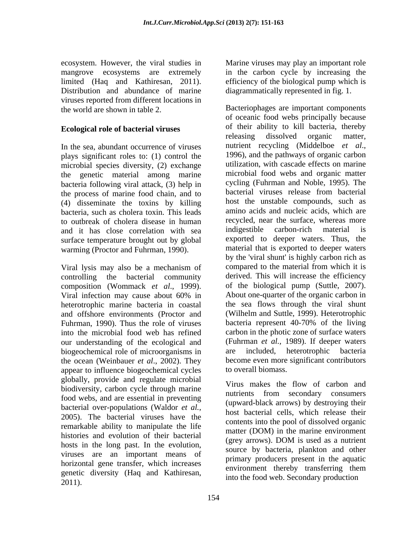ecosystem. However, the viral studies in Marine viruses may play an important role mangrove ecosystems are extremely in the carbon cycle by increasing the limited (Haq and Kathiresan, 2011). efficiency of the biological pump which is Distribution and abundance of marine diagrammatically represented in fig. 1. viruses reported from different locations in the world are shown in table 2. Bacteriophages are important components

plays significant roles to: (1) control the microbial species diversity, (2) exchange the genetic material among marine bacteria following viral attack, (3) help in the process of marine food chain, and to (4) disseminate the toxins by killing bacteria, such as cholera toxin. This leads to outbreak of cholera disease in human<br>and it has close correlation with sea indigestible carbon-rich material is and it has close correlation with sea surface temperature brought out by global warming (Proctor and Fuhrman, 1990).

Viral lysis may also be a mechanism of controlling the bacterial community composition (Wommack *et al*., 1999). heterotrophic marine bacteria in coastal and offshore environments (Proctor and Fuhrman, 1990). Thus the role of viruses bacteria represent 40-70% of the living into the microbial food web has refined our understanding of the ecological and biogeochemical role of microorganisms in the ocean (Weinbauer *et al*., 2002). They appear to influence biogeochemical cycles globally, provide and regulate microbial biodiversity, carbon cycle through marine and three through marine throw of carbon and the rich secondary consumers food webs, and are essential in preventing bacterial over-populations (Waldor *et al.,* 2005). The bacterial viruses have the remarkable ability to manipulate the life histories and evolution of their bacterial and the matter (DOM) in the matter environment hosts in the long past. In the evolution, viruses are an important means of horizontal gene transfer, which increases genetic diversity (Haq and Kathiresan,

**Ecological role of bacterial viruses** of their ability to kill bacteria, thereby releasing dissolved organic matter, In the sea, abundant occurrence of viruses mutrient recycling (Middelboe *et al.*, plays significant roles to: (1) control the 1996), and the pathways of organic carbon Viral infection may cause about 60% in About one-quarter of the organic carbon in econsymm However, the biral studies in Motine viruses may play an inportant relations. The biral studies and Rothinga and the minimal constrained the minimal constrained the minimal constrained the particular enterpret in diagrammatically represented in fig. 1.<br>Bacteriophages are important components of oceanic food webs principally because of their ability to kill bacteria, thereby releasing dissolved organic matter, nutrient recycling (Middelboe *et al.*, 1996), and the pathways of organic carbon utilization, with cascade effects on marine microbial food webs and organic matter cycling (Fuhrman and Noble, 1995). The bacterial viruses release from bacterial host the unstable compounds, such as amino acids and nucleic acids, which are recycled, near the surface, whereas more indigestible carbon-rich material is exported to deeper waters. Thus, the material that is exported to deeper waters by the 'viral shunt' is highly carbon rich as compared to the material from which it is derived. This will increase the efficiency of the biological pump (Suttle, 2007). About one-quarter of the organic carbon in the sea flows through the viral shunt (Wilhelm and Suttle, 1999). Heterotrophic bacteria represent 40-70% of the living carbon in the photic zone of surface waters (Fuhrman *et al.,* 1989).If deeper waters included, heterotrophic bacteria become even more significant contributors to overall biomass.

Virus makes the flow of carbon and nutrients from secondary consumers (upward-black arrows) by destroying their host bacterial cells, which release their contents into the pool of dissolved organic matter (DOM) in the marine environment (grey arrows). DOM is used as a nutrient source by bacteria, plankton and other primary producers present in the aquatic environment thereby transferring them into the food web. Secondary production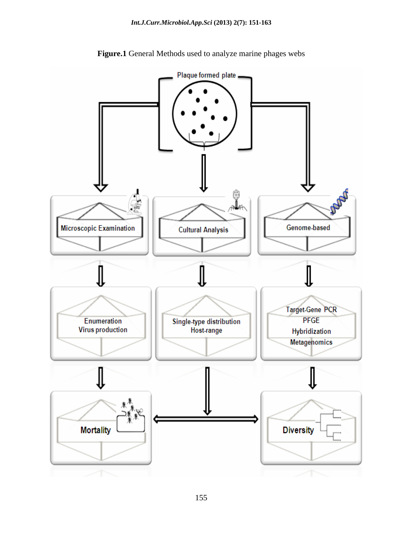

**Figure.1** General Methods used to analyze marine phages webs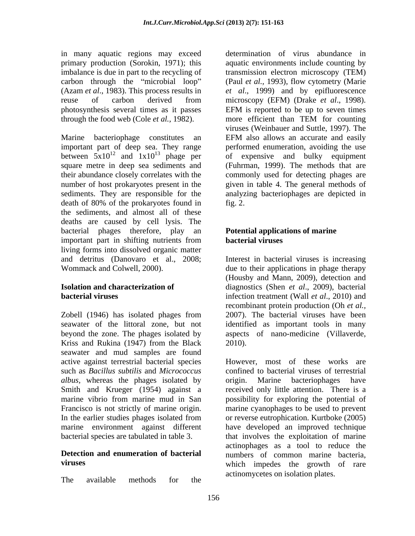in many aquatic regions may exceed determination of virus abundance in primary production (Sorokin, 1971); this photosynthesis several times as it passes through the food web (Cole *et al.,* 1982).

Marine bacteriophage constitutes an EFM also allows an accurate and easily important part of deep sea. They range<br>between  $5x10^{12}$  and  $1x10^{13}$  phage per death of 80% of the prokaryotes found in the sediments, and almost all of these deaths are caused by cell lysis. The bacterial phages therefore, play an important part in shifting nutrients from **bacterial viruses** living forms into dissolved organic matter and detritus (Danovaro et al., 2008; Interest in bacterial viruses is increasing Wommack and Colwell, 2000). due to their applications in phage therapy

Zobell (1946) has isolated phages from 2007). The bacterial viruses have been seawater of the littoral zone, but not identified as important tools in many beyond the zone. The phages isolated by a spects of nano-medicine (Villaverde, Kriss and Rukina (1947) from the Black 2010). seawater and mud samples are found Smith and Krueger (1954) against a

The available methods for the measurement of the second-

imbalance is due in part to the recycling of transmission electron microscopy (TEM) carbon through the "microbial loop" (Paul *et al.*, 1993), flow cytometry (Marie (Azam *et al*., 1983). This process results in *et al*., 1999) and by epifluorescence reuse of carbon derived from microscopy (EFM) (Drake *et al*., 1998). between  $5x10^{12}$  and  $1x10^{13}$  phage per of expensive and bulky equipment square metre in deep sea sediments and (Fuhrman, 1999). The methods that are their abundance closely correlates with the commonly used for detecting phages are number of host prokaryotes present in the given in table 4. The general methods of sediments. They are responsible for the analyzing bacteriophages are depicted in aquatic environments include counting by EFM is reported to be up to seven times more efficient than TEM for counting viruses (Weinbauer and Suttle, 1997). The EFM also allows an accurate and easily performed enumeration, avoiding the use  $fig. 2.$ 

## **Potential applications of marine bacterial viruses**

**Isolation and characterization of**  diagnostics (Shen *et al*., 2009), bacterial **bacterial viruses** infection treatment (Wall *et al*., 2010) and (Housby and Mann, 2009), detection and recombinant protein production (Oh *et al.,* aspects of nano-medicine (Villaverde,<br>2010).

active against terrestrial bacterial species However, most of these works are such as *Bacillus subtilis* and *Micrococcus* confined to bacterial viruses of terrestrial *albus,* whereas the phages isolated by origin. Marine bacteriophages have marine vibrio from marine mud in San possibility for exploring the potential of Francisco is not strictly of marine origin. In marine cyanophages to be used to prevent<br>In the earlier studies phages isolated from or reverse eutrophication. Kurtboke (2005) marine environment against different have developed an improved technique bacterial species are tabulated in table 3. that involves the exploitation of marine **Detection and enumeration of bacterial** numbers of common marine bacteria, **viruses** which impedes the growth of rare received only little attention. There is a marine cyanophages to be used to prevent or reverse eutrophication. Kurtboke (2005) actinophages as a tool to reduce the actinomycetes on isolation plates.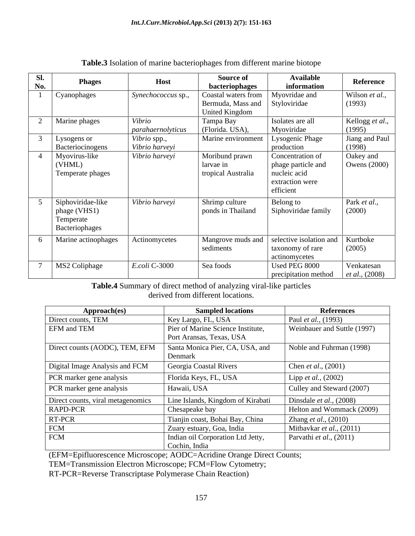| Sl.<br>No. | <b>Phages</b>                                                    | <b>Host</b>                    | <b>Source of</b><br>bacteriophages                                      | <b>Available</b><br>information                                                        | Reference                              |
|------------|------------------------------------------------------------------|--------------------------------|-------------------------------------------------------------------------|----------------------------------------------------------------------------------------|----------------------------------------|
|            | Cyanophages                                                      | Synechococcus sp.,             | Coastal waters from<br>Bermuda, Mass and Styloviridae<br>United Kingdom | Myovridae and                                                                          | Wilson et al.,<br>(1993)               |
|            | Marine phages                                                    | Vibrio<br>parahaernolyticus    | Tampa Bay<br>(Florida. USA),                                            | Isolates are all<br>Myoviridae                                                         | Kellogg et al.,<br>(1995)              |
|            | Lysogens or<br>Bacteriocinogens                                  | Vibrio spp.,<br>Vibrio harveyi | <b>Marine environment</b>                                               | Lysogenic Phage<br>production                                                          | Jiang and Paul<br>(1998)               |
|            | Myovirus-like<br>(VHML)<br>Temperate phages                      | Vibrio harveyi                 | Moribund prawn<br>larvae in<br>tropical Australia                       | Concentration of<br>phage particle and<br>nucleic acid<br>extraction were<br>efficient | Oakey and<br><b>Owens</b> (2000)       |
|            | Siphoviridae-like<br>phage (VHS1)<br>Temperate<br>Bacteriophages | Vibrio harveyi                 | Shrimp culture<br>ponds in Thailand                                     | Belong to<br>Siphoviridae family                                                       | Park et al.,<br>(2000)                 |
|            | Marine actinophages                                              | Actinomycetes                  | sediments                                                               | Mangrove muds and   selective isolation and<br>taxonomy of rare<br>actinomycetes       | Kurtboke<br>(2005)                     |
|            | MS2 Coliphage                                                    | <i>E.coli</i> C-3000           | Sea foods                                                               | Used PEG 8000<br>precipitation method                                                  | Venkatesan<br><i>et al.</i> , $(2008)$ |

### **Table.3** Isolation of marine bacteriophages from different marine biotope

**Table.4** Summary of direct method of analyzing viral-like particles derived from different locations.

| Approach(es)                      | <b>Sampled locations</b>                                      | <b>References</b>               |
|-----------------------------------|---------------------------------------------------------------|---------------------------------|
| Direct counts, TEM                | Key Largo, FL, USA                                            | Paul <i>et al.</i> , (1993)     |
| <b>EFM</b> and TEM                | Pier of Marine Science Institute,<br>Port Aransas, Texas, USA | Weinbauer and Suttle (1997)     |
| Direct counts (AODC), TEM, EFM    | Santa Monica Pier, CA, USA, and<br>Denmar                     | Noble and Fuhrman (1998)        |
| Digital Image Analysis and FCM    | Georgia Coastal Rivers                                        | Chen et al., (2001)             |
| <b>PCR</b> marker gene analysis   | Florida Keys, FL, USA                                         | Lipp et al., $(2002)$           |
| <b>PCR</b> marker gene analysis   | Hawaii, USA                                                   | Culley and Steward (2007)       |
| Direct counts, viral metagenomics | Line Islands, Kingdom of Kirabati                             | Dinsdale <i>et al.</i> , (2008) |
| <b>RAPD-PCR</b>                   | Chesapeake bay                                                | Helton and Wommack (2009)       |
| RT-PCR                            | Tianjin coast, Bohai Bay, China                               | Zhang et al., (2010)            |
| <b>FCM</b>                        | Zuary estuary, Goa, India                                     | Mitbavkar et al., (2011)        |
| <b>FCM</b>                        | Indian oil Corporation Ltd Jetty,<br>Cochin, India            | Parvathi et al., $(2011)$       |

(EFM=Epifluorescence Microscope; AODC=Acridine Orange Direct Counts;

TEM=Transmission Electron Microscope; FCM=Flow Cytometry;

RT-PCR=Reverse Transcriptase Polymerase Chain Reaction)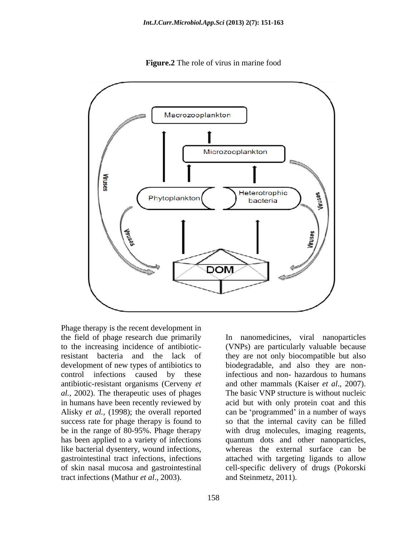

**Figure.2** The role of virus in marine food

Phage therapy is the recent development in the field of phage research due primarily to the increasing incidence of antibiotic-(VNPs) are particularly valuable because resistant bacteria and the lack of they are not only biocompatible but also development of new types of antibiotics to biodegradable, and also they are noncontrol infections caused by these infectious and non- hazardous to humans antibiotic-resistant organisms (Cerveny *et al.,* 2002). The therapeutic uses of phages The basic VNP structure is without nucleic in humans have been recently reviewed by acid but with only protein coat and this Alisky *et al.*, (1998); the overall reported can be 'programmed' in a number of ways success rate for phage therapy is found to so that the internal cavity can be filled be in the range of 80-95%. Phage therapy with drug molecules, imaging reagents, has been applied to a variety of infections quantum dots and other nanoparticles, like bacterial dysentery, wound infections, whereas the external surface can be gastrointestinal tract infections, infections attached with targeting ligands to allow of skin nasal mucosa and gastrointestinal cell-specific delivery of drugs (Pokorski tract infections (Mathur *et al*., 2003).

In nanomedicines, viral nanoparticles and other mammals (Kaiser *et al*., 2007). and Steinmetz, 2011).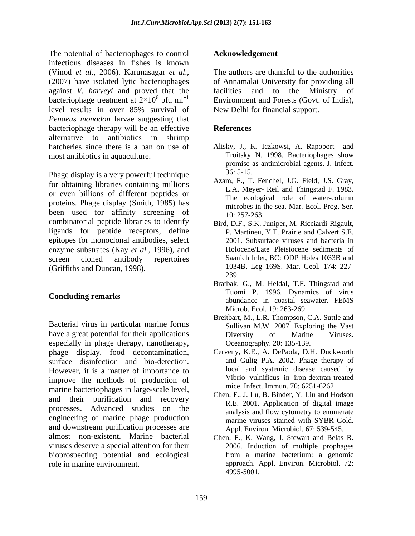The potential of bacteriophages to control infectious diseases in fishes is known (Vinod *et al.*, 2006). Karunasagar *et al.*, The authors are thankful to the authorities (2007) have isolated lytic bacteriophages of Annamalai University for providing all against *V. harveyi* and proved that the bacteriophage treatment at  $2\times10^6$  pfu ml<sup>-1</sup><br>level results in over 85% survival of level results in over 85% survival of *Penaeus monodon* larvae suggesting that bacteriophage therapy will be an effective alternative to antibiotics in shrimp hatcheries since there is a ban on use of Alisky, J., K. Iczkowsi, A. Rapoport and most antibiotics in aquaculture. Troitsky N. 1998. Bacteriophages show

Phage display is a very powerful technique  $36:5-15$ . for obtaining libraries containing millions or even billions of different peptides or proteins. Phage display (Smith, 1985) has been used for affinity screening of  $\frac{10:257-263}{10:257-263}$ combinatorial peptide libraries to identify ligands for peptide receptors, define epitopes for monoclonal antibodies, select enzyme substrates (Kay *et al.,* 1996), and screen cloned antibody repertoires Saanich Inlet, BC: ODP Holes 1033B and (Griffiths and Duncan, 1998).  $1034$ <br>239.  $239$ 

Bacterial virus in particular marine forms have a great potential for their applications **Exercise Exercise** Diversity of Marine Viruses. especially in phage therapy, nanotherapy, phage display, food decontamination, surface disinfection and bio-detection. However, it is a matter of importance to improve the methods of production of marine bacteriophages in large-scale level, and their purification and recovery processes. Advanced studies on the engineering of marine phage production and downstream purification processes are almost non-existent. Marine bacterial viruses deserve a special attention for their bioprospecting potential and ecological

### **Acknowledgement**

 $6 \text{ pfu } \text{ml}^{-1}$  Environment and Forests (Govt. of India), The authors are thankful to the authorities of Annamalai University for providing all facilities and to the Ministry of New Delhi for financial support.

## **References**

- Troitsky N. 1998. Bacteriophages show promise as antimicrobial agents. J. Infect*.* 36: 5-15.
- Azam, F., T. Fenchel, J.G. Field, J.S. Gray, L.A. Meyer- Reil and Thingstad F. 1983. The ecological role of water-column microbes in the sea. Mar. Ecol. Prog. Ser*.* 10: 257-263.
- Bird, D.F., S.K. Juniper, M. Ricciardi-Rigault, P. Martineu, Y.T. Prairie and Calvert S.E. 2001. Subsurface viruses and bacteria in Holocene/Late Pleistocene sediments of 1034B, Leg 169S. Mar. Geol*.* 174: 227- 239.
- **Concluding remarks Concluding remarks abundance** in coastal seawater. FEMS Bratbak, G., M. Heldal, T.F. Thingstad and Tuomi P. 1996. Dynamics of virus Microb. Ecol*.* 19: 263-269.
	- Breitbart, M., L.R. Thompson, C.A. Suttle and Sullivan M.W. 2007. Exploring the Vast Diversity of Marine Viruses. Oceanography. 20: 135-139.
	- Cerveny, K.E., A. DePaola, D.H. Duckworth and Gulig P.A. 2002. Phage therapy of local and systemic disease caused by Vibrio vulnificus in iron-dextran-treated mice. Infect. Immun. 70: 6251-6262.
	- Chen, F., J. Lu, B. Binder, Y. Liu and Hodson R.E. 2001. Application of digital image analysis and flow cytometry to enumerate marine viruses stained with SYBR Gold. Appl. Environ. Microbiol*.* 67: 539-545.
- role in marine environment. approach. Appl. Environ. Microbiol*.* 72: Chen, F., K. Wang, J. Stewart and Belas R. 2006. Induction of multiple prophages from a marine bacterium: a genomic 4995-5001.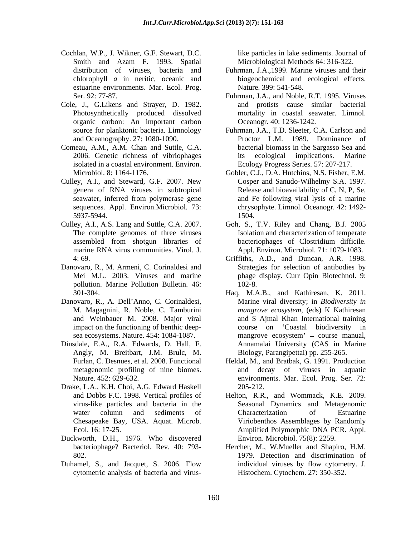- Cochlan, W.P., J. Wikner, G.F. Stewart, D.C. Smith and Azam F. 1993. Spatial estuarine environments. Mar. Ecol. Prog.
- Cole, J., G.Likens and Strayer, D. 1982. Photosynthetically produced dissolved organic carbon: An important carbon source for planktonic bacteria. Limnology
- Comeau, A.M., A.M. Chan and Suttle, C.A. 2006. Genetic richness of vibriophages isolated in a coastal environment. Environ.
- Culley, A.I., and Steward, G.F. 2007. New
- marine RNA virus communities. Virol. J.
- Danovaro, R., M. Armeni, C. Corinaldesi and pollution. Marine Pollution Bulletin. 46:
- Danovaro, R., A. Dell'Anno, C. Corinaldesi, and Weinbauer M. 2008. Major viral impact on the functioning of benthic deep-
- Dinsdale, E.A., R.A. Edwards, D. Hall, F. Angly, M. Breitbart, J.M. Brulc, M. metagenomic profiling of nine biomes.
- Drake, L.A., K.H. Choi, A.G. Edward Haskell Chesapeake Bay, USA. Aquat. Microb.
- Duckworth, D.H., 1976. Who discovered
- Duhamel, S., and Jacquet, S. 2006. Flow cytometric analysis of bacteria and virus-

like particles in lake sediments. Journal of Microbiological Methods 64: 316-322.

- distribution of viruses, bacteria and Fuhrman, J.A.,1999. Marine viruses and their chlorophyll *a* in neritic, oceanic and biogeochemical and ecological effects. Nature. 399: 541-548.
- Ser. 92: 77-87. Fuhrman, J.A., and Noble, R.T. 1995. Viruses and protists cause similar bacterial mortality in coastal seawater. Limnol. Oceanogr. 40: 1236-1242.
- and Oceanography. 27: 1080-1090. Proctor L.M. 1989. Dominance of Fuhrman, J.A., T.D. Sleeter, C.A. Carlson and bacterial biomass in the Sargasso Sea and ecological implications. Marine Ecology Progress Series. 57: 207-217.
- Microbiol. 8: 1164-1176. Gobler, C.J., D.A. Hutchins, N.S. Fisher, E.M. genera of RNA viruses in subtropical Release and bioavailability of C, N, P, Se, seawater, inferred from polymerase gene and Fe following viral lysis of a marine sequences. Appl. Environ.Microbiol*.* 73: chrysophyte. Limnol. Oceanogr*.* 42: 1492- 5937-5944. Cosper and Sanudo-Wilhelmy S.A. 1997. and Fe following viral lysis of a marine 1504.
- Culley, A.I., A.S. Lang and Suttle, C.A. 2007. Goh, S., T.V. Riley and Chang, B.J. 2005 The complete genomes of three viruses Isolation and characterization of temperate assembled from shotgun libraries of bacteriophages of Clostridium difficile. Appl. Environ. Microbiol. 71: 1079-1083.
	- 4: 69. Griffiths, A.D., and Duncan, A.R. 1998. Mei M.L. 2003. Viruses and marine phage display. Curr Opin Biotechnol. 9: Strategies for selection of antibodies by 102-8.
	- 301-304. Haq, M.A.B., and Kathiresan, K. 2011. M. Magagnini, R. Noble, C. Tamburini *mangrove ecosystem*, (eds) K Kathiresan sea ecosystems. Nature. 454: 1084-1087. mangrove ecosystem' – course manual, Marine viral diversity; in *Biodiversity in* and S Ajmal Khan International training course on Coastal biodiversity in Annamalai University (CAS in Marine Biology, Parangipettai) pp. 255-265.
	- Furlan, C. Desnues, et al*.* 2008. Functional Heldal, M., and Bratbak, G. 1991. Production Nature. 452: 629-632. environments. Mar. Ecol. Prog. Ser. 72: and decay of viruses in aquatic 205-212.
	- and Dobbs F.C. 1998. Vertical profiles of Helton, R.R., and Wommack, K.E. 2009. virus-like particles and bacteria in the Seasonal Dynamics and Metagenomic water column and sediments of Characterization of Estuarine Ecol. 16: 17-25. Amplified Polymorphic DNA PCR. Appl. Characterization of Estuarine Viriobenthos Assemblages by Randomly Environ. Microbiol. 75(8): 2259.
	- bacteriophage? Bacteriol. Rev. 40: 793- Hercher, M., W.Mueller and Shapiro, H.M. 802. 1979. Detection and discrimination of individual viruses by flow cytometry. J. Histochem. Cytochem. 27: 350-352.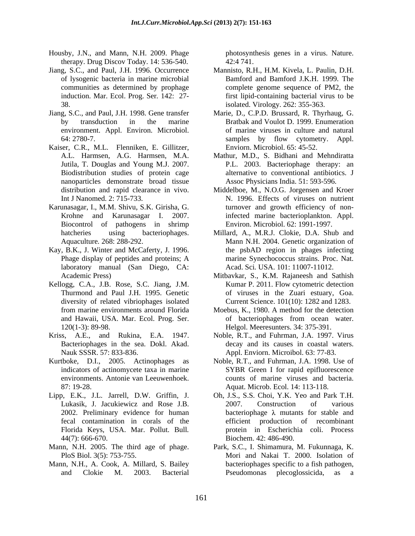- Housby, J.N., and Mann, N.H. 2009. Phage therapy. Drug Discov Today. 14: 536-540.
- Jiang, S.C., and Paul, J.H. 1996. Occurrence
- environment. Appl. Environ. Microbiol.
- Kaiser, C.R., M.L. Flenniken, E. Gillitzer, Jutila, T. Douglas and Young M.J. 2007. nanoparticles demonstrate broad tissue
- Biocontrol of pathogens in shrimp
- Kay, B.K., J. Winter and McCaferty, J. 1996. laboratory manual (San Diego, CA:
- Kellogg, C.A., J.B. Rose, S.C. Jiang, J.M. Thurmond and Paul J.H. 1995. Genetic diversity of related vibriophages isolated
- Kriss, A.E., and Rukina, E.A. 1947. Noble, R.T., and Fuhrman, J.A. 1997. Virus
- Kurtboke, D.I., 2005. Actinophages as
- Lipp, E.K., J.L. Jarrell, D.W. Griffin, J. Florida Keys, USA. Mar. Pollut. Bull*.* 44(7): 666-670. Biochem. 42: 486-490.
- Mann, N.H. 2005. The third age of phage. Park, S.C., I. Shimamura, M. Fukunnaga, K.
- Mann, N.H., A. Cook, A. Millard, S. Bailey

photosynthesis genes in a virus. Nature. 42:4 741.

- of lysogenic bacteria in marine microbial Bamford and Bamford J.K.H. 1999. The communities as determined by prophage complete genome sequence of PM2, the induction. Mar. Ecol. Prog. Ser*.* 142: 27- first lipid-containing bacterial virus to be 38. isolated. Virology. 262: 355-363. Mannisto, R.H., H.M. Kivela, L. Paulin, D.H.
- Jiang, S.C., and Paul, J.H. 1998. Gene transfer Marie, D., C.P.D. Brussard, R. Thyrhaug, G. by transduction in the marine Bratbak and Voulot D. 1999. Enumeration 64: 2780-7. samples by flow cytometry. Appl. of marine viruses in culture and natural Enviorn. Microbiol. 65: 45-52.
	- A.L. Harmsen, A.G. Harmsen, M.A. Mathur, M.D., S. Bidhani and Mehndiratta Biodistribution studies of protein cage alternative to conventional antibiotics. J P.L. 2003. Bacteriophage therapy: an Assoc Physicians India. 51: 593-596.
- distribution and rapid clearance in vivo. Middelboe, M., N.O.G. Jorgensen and Kroer Int J Nanomed. 2: 715-733. N. 1996. Effects of viruses on nutrient Karunasagar, I., M.M. Shivu, S.K. Girisha, G. turnover and growth efficiency of non-Krohne and Karunasagar I. 2007. infected marine bacterioplankton. Appl. Environ. Microbiol. 62: 1991-1997.
	- hatcheries using bacteriophages. Millard, A., M.R.J. Clokie, D.A. Shub and Aquaculture*.* 268: 288-292. Mann N.H. 2004. Genetic organization of Phage display of peptides and proteins; A the psbAD region in phages infecting marine Synechococcus strains. Proc. Nat. Acad. Sci*.* USA. 101: 11007-11012.
	- Academic Press) Mitbavkar, S., K.M. Rajaneesh and Sathish Kumar P. 2011. Flow cytometric detection of viruses in the Zuari estuary, Goa. Current Science. 101(10): 1282 and 1283.
	- from marine environments around Florida Moebus, K., 1980. A method for the detection and Hawaii, USA. Mar. Ecol. Prog. Ser.  $\qquad \qquad$  of bacteriophages from ocean water. 120(1-3): 89-98. Helgol. Meeresunters. 34: 375-391.
	- Bacteriophages in the sea. Dokl. Akad. decay and its causes in coastal waters. Nauk SSSR. 57: 833-836. Appl. Enviorn. Microibol. 63: 77-83.
	- indicators of actinomycete taxa in marine SYBR Green I for rapid epifluorescence environments. Antonie van Leeuwenhoek. counts of marine viruses and bacteria. 87: 19-28. Aquat. Microb. Ecol. 14: 113-118. Noble, R.T., and Fuhrman, J.A. 1998. Use of
	- Lukasik, J. Jacukiewicz and Rose J.B. 2002. Preliminary evidence for human bacteriophage  $\lambda$  mutants for stable and fecal contamination in corals of the efficient production of recombinant Oh, J.S., S.S. Choi, Y.K. Yeo and Park T.H. 2007. Construction of various protein in Escherichia coli. Process
	- PloS Biol. 3(5): 753-755. Mori and Nakai T. 2000. Isolation of and Clokie M. 2003. Bacterial bacteriophages specific to a fish pathogen, Pseudomonas plecoglossicida, as a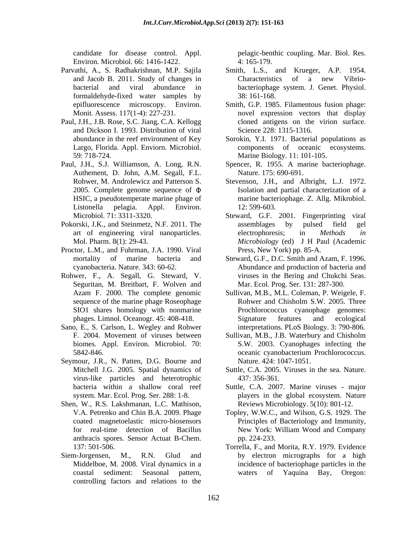candidate for disease control. Appl. pelagic-benthic coupling. Mar. Biol. Res. Environ. Microbiol. 66: 1416-1422. 4: 165-179.

- Parvathi, A., S. Radhakrishnan, M.P. Sajila formaldehyde-fixed water samples by
- Paul, J.H., J.B. Rose, S.C. Jiang, C.A. Kellogg and Dickson I. 1993. Distribution of viral
- Paul, J.H., S.J. Williamson, A. Long, R.N. Authement, D. John, A.M. Segall, F.L.
- 
- Proctor, L.M., and Fuhrman, J.A. 1990. Viral
- Rohwer, F., A. Segall, G. Steward, V. Seguritan, M. Breitbart, F. Wolven and SIO1 shares homology with nonmarine
- Sano, E., S. Carlson, L. Wegley and Rohwer
- Seymour, J.R., N. Patten, D.G. Bourne and virus-like particles and heterotrophic
- Shen, W., R.S. Lakshmanan, L.C. Mathison, anthracis spores. Sensor Actuat B-Chem.
- coastal sediment: Seasonal pattern, controlling factors and relations to the

4: 165-179.

- and Jacob B. 2011. Study of changes in bacterial and viral abundance in bacteriophage system. J. Genet. Physiol. Smith, L.S., and Krueger, A.P. 1954. Characteristics of a new Vibrio- 38: 161-168.
- epifluorescence microscopy. Environ. Smith, G.P. 1985. Filamentous fusion phage: Monit. Assess. 117(1-4): 227-231. novel expression vectors that display cloned antigens on the virion surface. Science 228: 1315-1316.
- abundance in the reef environment of Key Sorokin, Y.I. 1971. Bacterial populations as Largo, Florida. Appl. Enviorn. Microbiol. components of oceanic ecosystems. 59: 718-724. Marine Biology. 11: 101-105.
	- Spencer, R. 1955. A marine bacteriophage. Nature. 175: 690-691.
- Rohwer, M. Androlewicz and Patterson S. Stevenson, J.H., and Albright, L.J. 1972. 2005. Complete genome sequence of Isolation and partial characterization of a HSIC, a pseudotemperate marine phage of marine bacteriophage. Z. Allg. Mikrobiol. Listonella pelagia. Appl. Environ. 12: 599-603.
- Microbiol. 71: 3311-3320. Steward, G.F. 2001. Fingerprinting viral Pokorski, J.K., and Steinmetz, N.F. 2011. The art of engineering viral nanoparticles. electrophoresis; in Methods in Mol. Pharm. 8(1): 29-43. *Microbiology* (ed) J H Paul (Academic assemblages by pulsed field gel electrophoresis; in *Methods in* Press, New York) pp. 85-A.
	- mortality of marine bacteria and Steward, G.F., D.C. Smith and Azam, F. 1996. cyanobacteria. Nature. 343: 60-62. Abundance and production of bacteria and viruses in the Bering and Chukchi Seas. Mar. Ecol. Prog. Ser. 131: 287-300.
	- Azam F. 2000. The complete genomic Sullivan, M.B., M.L. Coleman, P. Weigele, F. sequence of the marine phage Roseophage Rohwer and Chisholm S.W. 2005. Three phages. Limnol. Oceanogr. 45: 408-418. Rohwer and Chisholm S.W. 2005. Three Prochlorococcus cyanophage genomes: Signature features and ecological interpretations. PLoS Biology. 3: 790-806.
	- Sullivan, M.B., J.B. Waterbury and Chisholm biomes. Appl. Environ. Microbiol. 70: S.W. 2003. Cyanophages infecting the 5842-846. coeanic cyanobacterium Prochlorococcus. Sullivan, M.B., J.B. Waterbury and Chisholm oceanic cyanobacterium Prochlorococcus. Nature. 424: 1047-1051.
	- Mitchell J.G. 2005. Spatial dynamics of Suttle, C.A. 2005. Viruses in the sea. Nature. 437: 356-361.
	- bacteria within a shallow coral reef Suttle, C.A. 2007. Marine viruses major system. Mar. Ecol. Prog. Ser. 288: 1-8. players in the global ecosystem. Nature Reviews Microbiology. 5(10): 801-12.
	- V.A. Petrenko and Chin B.A. 2009. Phage Topley, W.W.C., and Wilson, G.S. 1929. The coated magnetoelastic micro-biosensors Principles of Bacteriology and Immunity, for real-time detection of Bacillus New York: William Wood and Company pp. 224-233.
- 137: 501-506. Torrella, F., and Morita, R.Y. 1979. Evidence Siem-Jorgensen, M., R.N. Glud and by electron micrographs for a high Middelboe, M. 2008. Viral dynamics in a incidence of bacteriophage particles in the waters of Yaquina Bay, Oregon: